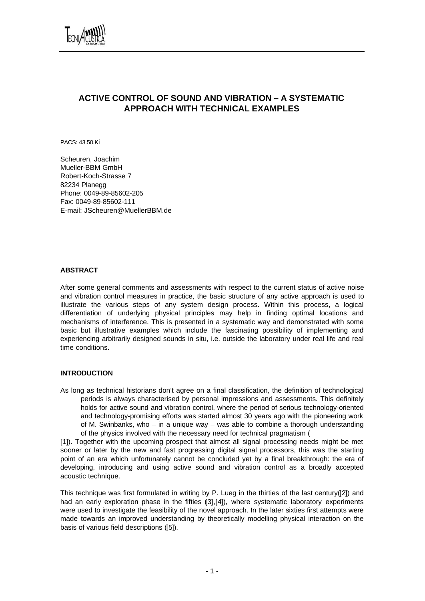

# **ACTIVE CONTROL OF SOUND AND VIBRATION – A SYSTEMATIC APPROACH WITH TECHNICAL EXAMPLES**

PACS: 43.50.Ki

Scheuren, Joachim Mueller-BBM GmbH Robert-Koch-Strasse 7 82234 Planegg Phone: 0049-89-85602-205 Fax: 0049-89-85602-111 E-mail: JScheuren@MuellerBBM.de

## **ABSTRACT**

After some general comments and assessments with respect to the current status of active noise and vibration control measures in practice, the basic structure of any active approach is used to illustrate the various steps of any system design process. Within this process, a logical differentiation of underlying physical principles may help in finding optimal locations and mechanisms of interference. This is presented in a systematic way and demonstrated with some basic but illustrative examples which include the fascinating possibility of implementing and experiencing arbitrarily designed sounds in situ, i.e. outside the laboratory under real life and real time conditions.

## **INTRODUCTION**

As long as technical historians don't agree on a final classification, the definition of technological periods is always characterised by personal impressions and assessments. This definitely holds for active sound and vibration control, where the period of serious technology-oriented and technology-promising efforts was started almost 30 years ago with the pioneering work of M. Swinbanks, who – in a unique way – was able to combine a thorough understanding of the physics involved with the necessary need for technical pragmatism (

[1]). Together with the upcoming prospect that almost all signal processing needs might be met sooner or later by the new and fast progressing digital signal processors, this was the starting point of an era which unfortunately cannot be concluded yet by a final breakthrough: the era of developing, introducing and using active sound and vibration control as a broadly accepted acoustic technique.

This technique was first formulated in writing by P. Lueg in the thirties of the last century([2]) and had an early exploration phase in the fifties (3],[4]), where systematic laboratory experiments were used to investigate the feasibility of the novel approach. In the later sixties first attempts were made towards an improved understanding by theoretically modelling physical interaction on the basis of various field descriptions ([5]).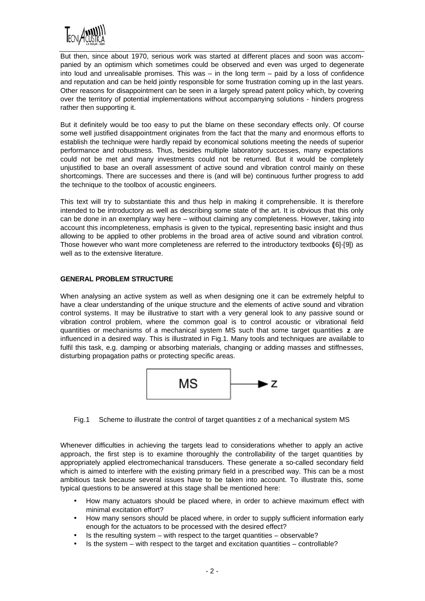

But then, since about 1970, serious work was started at different places and soon was accompanied by an optimism which sometimes could be observed and even was urged to degenerate into loud and unrealisable promises. This was – in the long term – paid by a loss of confidence and reputation and can be held jointly responsible for some frustration coming up in the last years. Other reasons for disappointment can be seen in a largely spread patent policy which, by covering over the territory of potential implementations without accompanying solutions - hinders progress rather then supporting it.

But it definitely would be too easy to put the blame on these secondary effects only. Of course some well justified disappointment originates from the fact that the many and enormous efforts to establish the technique were hardly repaid by economical solutions meeting the needs of superior performance and robustness. Thus, besides multiple laboratory successes, many expectations could not be met and many investments could not be returned. But it would be completely unjustified to base an overall assessment of active sound and vibration control mainly on these shortcomings. There are successes and there is (and will be) continuous further progress to add the technique to the toolbox of acoustic engineers.

This text will try to substantiate this and thus help in making it comprehensible. It is therefore intended to be introductory as well as describing some state of the art. It is obvious that this only can be done in an exemplary way here – without claiming any completeness. However, taking into account this incompleteness, emphasis is given to the typical, representing basic insight and thus allowing to be applied to other problems in the broad area of active sound and vibration control. Those however who want more completeness are referred to the introductory textbooks ([6]-[9]) as well as to the extensive literature.

## **GENERAL PROBLEM STRUCTURE**

When analysing an active system as well as when designing one it can be extremely helpful to have a clear understanding of the unique structure and the elements of active sound and vibration control systems. It may be illustrative to start with a very general look to any passive sound or vibration control problem, where the common goal is to control acoustic or vibrational field quantities or mechanisms of a mechanical system MS such that some target quantities **z** are influenced in a desired way. This is illustrated in Fig.1. Many tools and techniques are available to fulfil this task, e.g. damping or absorbing materials, changing or adding masses and stiffnesses, disturbing propagation paths or protecting specific areas.



Fig.1 Scheme to illustrate the control of target quantities z of a mechanical system MS

Whenever difficulties in achieving the targets lead to considerations whether to apply an active approach, the first step is to examine thoroughly the controllability of the target quantities by appropriately applied electromechanical transducers. These generate a so-called secondary field which is aimed to interfere with the existing primary field in a prescribed way. This can be a most ambitious task because several issues have to be taken into account. To illustrate this, some typical questions to be answered at this stage shall be mentioned here:

- How many actuators should be placed where, in order to achieve maximum effect with minimal excitation effort?
- How many sensors should be placed where, in order to supply sufficient information early enough for the actuators to be processed with the desired effect?
- $\bullet$  Is the resulting system with respect to the target quantities observable?
- Is the system with respect to the target and excitation quantities controllable?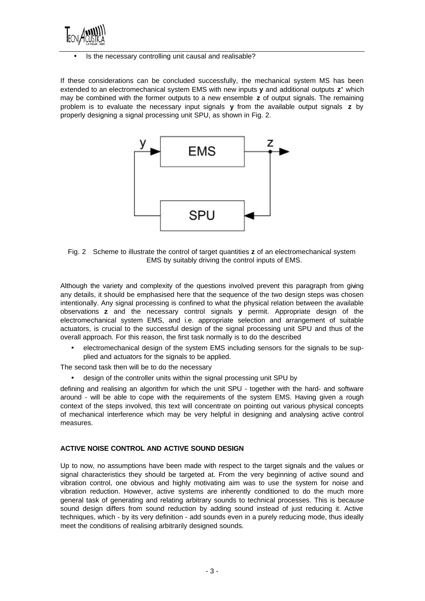

### • Is the necessary controlling unit causal and realisable?

If these considerations can be concluded successfully, the mechanical system MS has been extended to an electromechanical system EMS with new inputs **y** and additional outputs **z'** which may be combined with the former outputs to a new ensemble **z** of output signals. The remaining problem is to evaluate the necessary input signals **y** from the available output signals **z** by properly designing a signal processing unit SPU, as shown in Fig. 2.



Fig. 2 Scheme to illustrate the control of target quantities **z** of an electromechanical system EMS by suitably driving the control inputs of EMS.

Although the variety and complexity of the questions involved prevent this paragraph from giving any details, it should be emphasised here that the sequence of the two design steps was chosen intentionally. Any signal processing is confined to what the physical relation between the available observations **z** and the necessary control signals **y** permit. Appropriate design of the electromechanical system EMS, and i.e. appropriate selection and arrangement of suitable actuators, is crucial to the successful design of the signal processing unit SPU and thus of the overall approach. For this reason, the first task normally is to do the described

• electromechanical design of the system EMS including sensors for the signals to be supplied and actuators for the signals to be applied.

The second task then will be to do the necessary

• design of the controller units within the signal processing unit SPU by

defining and realising an algorithm for which the unit SPU - together with the hard- and software around - will be able to cope with the requirements of the system EMS. Having given a rough context of the steps involved, this text will concentrate on pointing out various physical concepts of mechanical interference which may be very helpful in designing and analysing active control measures.

## **ACTIVE NOISE CONTROL AND ACTIVE SOUND DESIGN**

Up to now, no assumptions have been made with respect to the target signals and the values or signal characteristics they should be targeted at. From the very beginning of active sound and vibration control, one obvious and highly motivating aim was to use the system for noise and vibration reduction. However, active systems are inherently conditioned to do the much more general task of generating and relating arbitrary sounds to technical processes. This is because sound design differs from sound reduction by adding sound instead of just reducing it. Active techniques, which - by its very definition - add sounds even in a purely reducing mode, thus ideally meet the conditions of realising arbitrarily designed sounds.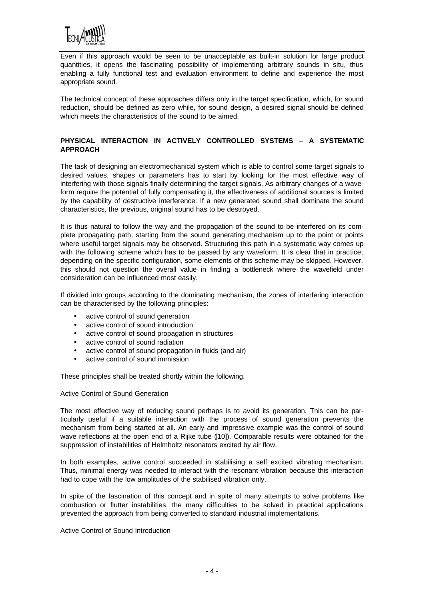

Even if this approach would be seen to be unacceptable as built-in solution for large product quantities, it opens the fascinating possibility of implementing arbitrary sounds in situ, thus enabling a fully functional test and evaluation environment to define and experience the most appropriate sound.

The technical concept of these approaches differs only in the target specification, which, for sound reduction, should be defined as zero while, for sound design, a desired signal should be defined which meets the characteristics of the sound to be aimed.

## **PHYSICAL INTERACTION IN ACTIVELY CONTROLLED SYSTEMS – A SYSTEMATIC APPROACH**

The task of designing an electromechanical system which is able to control some target signals to desired values, shapes or parameters has to start by looking for the most effective way of interfering with those signals finally determining the target signals. As arbitrary changes of a waveform require the potential of fully compensating it, the effectiveness of additional sources is limited by the capability of destructive interference: If a new generated sound shall dominate the sound characteristics, the previous, original sound has to be destroyed.

It is thus natural to follow the way and the propagation of the sound to be interfered on its complete propagating path, starting from the sound generating mechanism up to the point or points where useful target signals may be observed. Structuring this path in a systematic way comes up with the following scheme which has to be passed by any waveform. It is clear that in practice, depending on the specific configuration, some elements of this scheme may be skipped. However, this should not question the overall value in finding a bottleneck where the wavefield under consideration can be influenced most easily.

If divided into groups according to the dominating mechanism, the zones of interfering interaction can be characterised by the following principles:

- active control of sound generation
- active control of sound introduction
- active control of sound propagation in structures
- active control of sound radiation
- active control of sound propagation in fluids (and air)
- active control of sound immission

These principles shall be treated shortly within the following.

### Active Control of Sound Generation

The most effective way of reducing sound perhaps is to avoid its generation. This can be particularly useful if a suitable interaction with the process of sound generation prevents the mechanism from being started at all. An early and impressive example was the control of sound wave reflections at the open end of a Rijke tube ([10]). Comparable results were obtained for the suppression of instabilities of Helmholtz resonators excited by air flow.

In both examples, active control succeeded in stabilising a self excited vibrating mechanism. Thus, minimal energy was needed to interact with the resonant vibration because this interaction had to cope with the low amplitudes of the stabilised vibration only.

In spite of the fascination of this concept and in spite of many attempts to solve problems like combustion or flutter instabilities, the many difficulties to be solved in practical applications prevented the approach from being converted to standard industrial implementations.

#### Active Control of Sound Introduction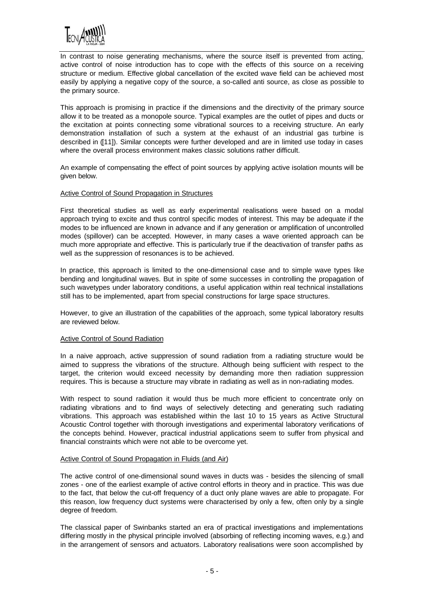

In contrast to noise generating mechanisms, where the source itself is prevented from acting, active control of noise introduction has to cope with the effects of this source on a receiving structure or medium. Effective global cancellation of the excited wave field can be achieved most easily by applying a negative copy of the source, a so-called anti source, as close as possible to the primary source.

This approach is promising in practice if the dimensions and the directivity of the primary source allow it to be treated as a monopole source. Typical examples are the outlet of pipes and ducts or the excitation at points connecting some vibrational sources to a receiving structure. An early demonstration installation of such a system at the exhaust of an industrial gas turbine is described in ([11]). Similar concepts were further developed and are in limited use today in cases where the overall process environment makes classic solutions rather difficult.

An example of compensating the effect of point sources by applying active isolation mounts will be given below.

### Active Control of Sound Propagation in Structures

First theoretical studies as well as early experimental realisations were based on a modal approach trying to excite and thus control specific modes of interest. This may be adequate if the modes to be influenced are known in advance and if any generation or amplification of uncontrolled modes (spillover) can be accepted. However, in many cases a wave oriented approach can be much more appropriate and effective. This is particularly true if the deactivation of transfer paths as well as the suppression of resonances is to be achieved.

In practice, this approach is limited to the one-dimensional case and to simple wave types like bending and longitudinal waves. But in spite of some successes in controlling the propagation of such wavetypes under laboratory conditions, a useful application within real technical installations still has to be implemented, apart from special constructions for large space structures.

However, to give an illustration of the capabilities of the approach, some typical laboratory results are reviewed below.

#### Active Control of Sound Radiation

In a naive approach, active suppression of sound radiation from a radiating structure would be aimed to suppress the vibrations of the structure. Although being sufficient with respect to the target, the criterion would exceed necessity by demanding more then radiation suppression requires. This is because a structure may vibrate in radiating as well as in non-radiating modes.

With respect to sound radiation it would thus be much more efficient to concentrate only on radiating vibrations and to find ways of selectively detecting and generating such radiating vibrations. This approach was established within the last 10 to 15 years as Active Structural Acoustic Control together with thorough investigations and experimental laboratory verifications of the concepts behind. However, practical industrial applications seem to suffer from physical and financial constraints which were not able to be overcome yet.

### Active Control of Sound Propagation in Fluids (and Air)

The active control of one-dimensional sound waves in ducts was - besides the silencing of small zones - one of the earliest example of active control efforts in theory and in practice. This was due to the fact, that below the cut-off frequency of a duct only plane waves are able to propagate. For this reason, low frequency duct systems were characterised by only a few, often only by a single degree of freedom.

The classical paper of Swinbanks started an era of practical investigations and implementations differing mostly in the physical principle involved (absorbing of reflecting incoming waves, e.g.) and in the arrangement of sensors and actuators. Laboratory realisations were soon accomplished by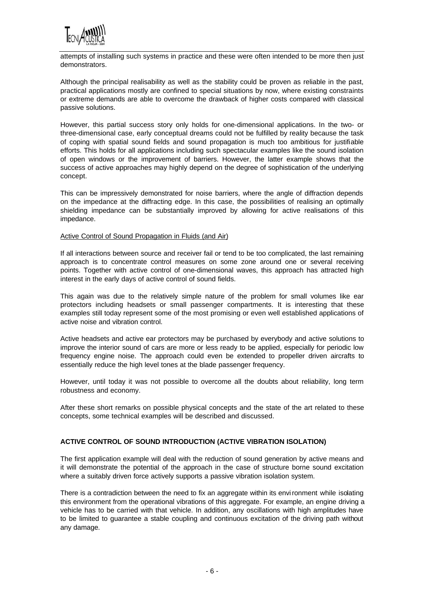

attempts of installing such systems in practice and these were often intended to be more then just demonstrators.

Although the principal realisability as well as the stability could be proven as reliable in the past, practical applications mostly are confined to special situations by now, where existing constraints or extreme demands are able to overcome the drawback of higher costs compared with classical passive solutions.

However, this partial success story only holds for one-dimensional applications. In the two- or three-dimensional case, early conceptual dreams could not be fulfilled by reality because the task of coping with spatial sound fields and sound propagation is much too ambitious for justifiable efforts. This holds for all applications including such spectacular examples like the sound isolation of open windows or the improvement of barriers. However, the latter example shows that the success of active approaches may highly depend on the degree of sophistication of the underlying concept.

This can be impressively demonstrated for noise barriers, where the angle of diffraction depends on the impedance at the diffracting edge. In this case, the possibilities of realising an optimally shielding impedance can be substantially improved by allowing for active realisations of this impedance.

### Active Control of Sound Propagation in Fluids (and Air)

If all interactions between source and receiver fail or tend to be too complicated, the last remaining approach is to concentrate control measures on some zone around one or several receiving points. Together with active control of one-dimensional waves, this approach has attracted high interest in the early days of active control of sound fields.

This again was due to the relatively simple nature of the problem for small volumes like ear protectors including headsets or small passenger compartments. It is interesting that these examples still today represent some of the most promising or even well established applications of active noise and vibration control.

Active headsets and active ear protectors may be purchased by everybody and active solutions to improve the interior sound of cars are more or less ready to be applied, especially for periodic low frequency engine noise. The approach could even be extended to propeller driven aircrafts to essentially reduce the high level tones at the blade passenger frequency.

However, until today it was not possible to overcome all the doubts about reliability, long term robustness and economy.

After these short remarks on possible physical concepts and the state of the art related to these concepts, some technical examples will be described and discussed.

## **ACTIVE CONTROL OF SOUND INTRODUCTION (ACTIVE VIBRATION ISOLATION)**

The first application example will deal with the reduction of sound generation by active means and it will demonstrate the potential of the approach in the case of structure borne sound excitation where a suitably driven force actively supports a passive vibration isolation system.

There is a contradiction between the need to fix an aggregate within its environment while isolating this environment from the operational vibrations of this aggregate. For example, an engine driving a vehicle has to be carried with that vehicle. In addition, any oscillations with high amplitudes have to be limited to guarantee a stable coupling and continuous excitation of the driving path without any damage.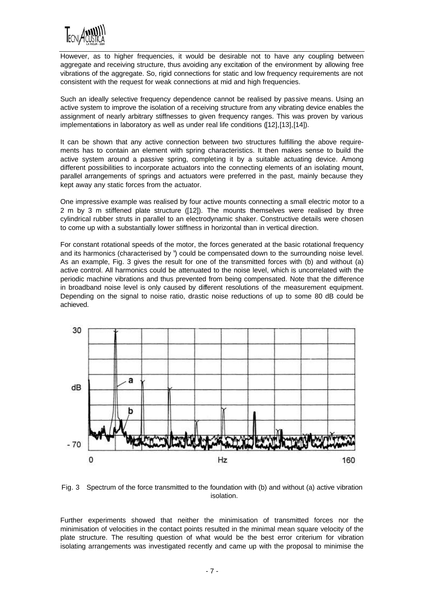

However, as to higher frequencies, it would be desirable not to have any coupling between aggregate and receiving structure, thus avoiding any excitation of the environment by allowing free vibrations of the aggregate. So, rigid connections for static and low frequency requirements are not consistent with the request for weak connections at mid and high frequencies.

Such an ideally selective frequency dependence cannot be realised by passive means. Using an active system to improve the isolation of a receiving structure from any vibrating device enables the assignment of nearly arbitrary stiffnesses to given frequency ranges. This was proven by various implementations in laboratory as well as under real life conditions ([12],[13],[14]).

It can be shown that any active connection between two structures fulfilling the above requirements has to contain an element with spring characteristics. It then makes sense to build the active system around a passive spring, completing it by a suitable actuating device. Among different possibilities to incorporate actuators into the connecting elements of an isolating mount, parallel arrangements of springs and actuators were preferred in the past, mainly because they kept away any static forces from the actuator.

One impressive example was realised by four active mounts connecting a small electric motor to a 2 m by 3 m stiffened plate structure ([12]). The mounts themselves were realised by three cylindrical rubber struts in parallel to an electrodynamic shaker. Constructive details were chosen to come up with a substantially lower stiffness in horizontal than in vertical direction.

For constant rotational speeds of the motor, the forces generated at the basic rotational frequency and its harmonics (characterised by ') could be compensated down to the surrounding noise level. As an example, Fig. 3 gives the result for one of the transmitted forces with (b) and without (a) active control. All harmonics could be attenuated to the noise level, which is uncorrelated with the periodic machine vibrations and thus prevented from being compensated. Note that the difference in broadband noise level is only caused by different resolutions of the measurement equipment. Depending on the signal to noise ratio, drastic noise reductions of up to some 80 dB could be achieved.



Fig. 3 Spectrum of the force transmitted to the foundation with (b) and without (a) active vibration isolation.

Further experiments showed that neither the minimisation of transmitted forces nor the minimisation of velocities in the contact points resulted in the minimal mean square velocity of the plate structure. The resulting question of what would be the best error criterium for vibration isolating arrangements was investigated recently and came up with the proposal to minimise the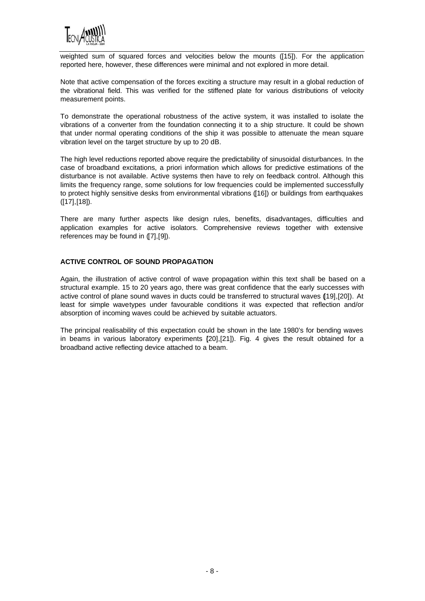

weighted sum of squared forces and velocities below the mounts ([15]). For the application reported here, however, these differences were minimal and not explored in more detail.

Note that active compensation of the forces exciting a structure may result in a global reduction of the vibrational field. This was verified for the stiffened plate for various distributions of velocity measurement points.

To demonstrate the operational robustness of the active system, it was installed to isolate the vibrations of a converter from the foundation connecting it to a ship structure. It could be shown that under normal operating conditions of the ship it was possible to attenuate the mean square vibration level on the target structure by up to 20 dB.

The high level reductions reported above require the predictability of sinusoidal disturbances. In the case of broadband excitations, a priori information which allows for predictive estimations of the disturbance is not available. Active systems then have to rely on feedback control. Although this limits the frequency range, some solutions for low frequencies could be implemented successfully to protect highly sensitive desks from environmental vibrations ([16]) or buildings from earthquakes ([17],[18]).

There are many further aspects like design rules, benefits, disadvantages, difficulties and application examples for active isolators. Comprehensive reviews together with extensive references may be found in ([7],[9]).

# **ACTIVE CONTROL OF SOUND PROPAGATION**

Again, the illustration of active control of wave propagation within this text shall be based on a structural example. 15 to 20 years ago, there was great confidence that the early successes with active control of plane sound waves in ducts could be transferred to structural waves ([19],[20]). At least for simple wavetypes under favourable conditions it was expected that reflection and/or absorption of incoming waves could be achieved by suitable actuators.

The principal realisability of this expectation could be shown in the late 1980's for bending waves in beams in various laboratory experiments  $[20],[21]$ ). Fig. 4 gives the result obtained for a broadband active reflecting device attached to a beam.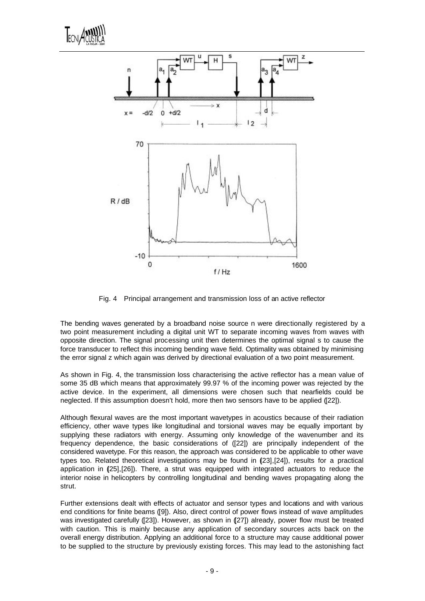



Fig. 4 Principal arrangement and transmission loss of an active reflector

The bending waves generated by a broadband noise source n were directionally registered by a two point measurement including a digital unit WT to separate incoming waves from waves with opposite direction. The signal processing unit then determines the optimal signal s to cause the force transducer to reflect this incoming bending wave field. Optimality was obtained by minimising the error signal z which again was derived by directional evaluation of a two point measurement.

As shown in Fig. 4, the transmission loss characterising the active reflector has a mean value of some 35 dB which means that approximately 99.97 % of the incoming power was rejected by the active device. In the experiment, all dimensions were chosen such that nearfields could be neglected. If this assumption doesn't hold, more then two sensors have to be applied ([22]).

Although flexural waves are the most important wavetypes in acoustics because of their radiation efficiency, other wave types like longitudinal and torsional waves may be equally important by supplying these radiators with energy. Assuming only knowledge of the wavenumber and its frequency dependence, the basic considerations of ([22]) are principally independent of the considered wavetype. For this reason, the approach was considered to be applicable to other wave types too. Related theoretical investigations may be found in (231, [24]), results for a practical application in (25],[26]). There, a strut was equipped with integrated actuators to reduce the interior noise in helicopters by controlling longitudinal and bending waves propagating along the strut.

Further extensions dealt with effects of actuator and sensor types and locations and with various end conditions for finite beams ([9]). Also, direct control of power flows instead of wave amplitudes was investigated carefully ([23]). However, as shown in ([27]) already, power flow must be treated with caution. This is mainly because any application of secondary sources acts back on the overall energy distribution. Applying an additional force to a structure may cause additional power to be supplied to the structure by previously existing forces. This may lead to the astonishing fact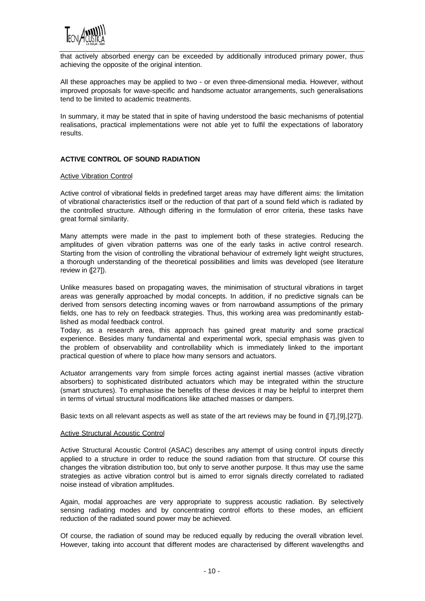

that actively absorbed energy can be exceeded by additionally introduced primary power, thus achieving the opposite of the original intention.

All these approaches may be applied to two - or even three-dimensional media. However, without improved proposals for wave-specific and handsome actuator arrangements, such generalisations tend to be limited to academic treatments.

In summary, it may be stated that in spite of having understood the basic mechanisms of potential realisations, practical implementations were not able yet to fulfil the expectations of laboratory results.

### **ACTIVE CONTROL OF SOUND RADIATION**

#### Active Vibration Control

Active control of vibrational fields in predefined target areas may have different aims: the limitation of vibrational characteristics itself or the reduction of that part of a sound field which is radiated by the controlled structure. Although differing in the formulation of error criteria, these tasks have great formal similarity.

Many attempts were made in the past to implement both of these strategies. Reducing the amplitudes of given vibration patterns was one of the early tasks in active control research. Starting from the vision of controlling the vibrational behaviour of extremely light weight structures, a thorough understanding of the theoretical possibilities and limits was developed (see literature review in ([27]).

Unlike measures based on propagating waves, the minimisation of structural vibrations in target areas was generally approached by modal concepts. In addition, if no predictive signals can be derived from sensors detecting incoming waves or from narrowband assumptions of the primary fields, one has to rely on feedback strategies. Thus, this working area was predominantly established as modal feedback control.

Today, as a research area, this approach has gained great maturity and some practical experience. Besides many fundamental and experimental work, special emphasis was given to the problem of observability and controllability which is immediately linked to the important practical question of where to place how many sensors and actuators.

Actuator arrangements vary from simple forces acting against inertial masses (active vibration absorbers) to sophisticated distributed actuators which may be integrated within the structure (smart structures). To emphasise the benefits of these devices it may be helpful to interpret them in terms of virtual structural modifications like attached masses or dampers.

Basic texts on all relevant aspects as well as state of the art reviews may be found in ([7],[9],[27]).

### Active Structural Acoustic Control

Active Structural Acoustic Control (ASAC) describes any attempt of using control inputs directly applied to a structure in order to reduce the sound radiation from that structure. Of course this changes the vibration distribution too, but only to serve another purpose. It thus may use the same strategies as active vibration control but is aimed to error signals directly correlated to radiated noise instead of vibration amplitudes.

Again, modal approaches are very appropriate to suppress acoustic radiation. By selectively sensing radiating modes and by concentrating control efforts to these modes, an efficient reduction of the radiated sound power may be achieved.

Of course, the radiation of sound may be reduced equally by reducing the overall vibration level. However, taking into account that different modes are characterised by different wavelengths and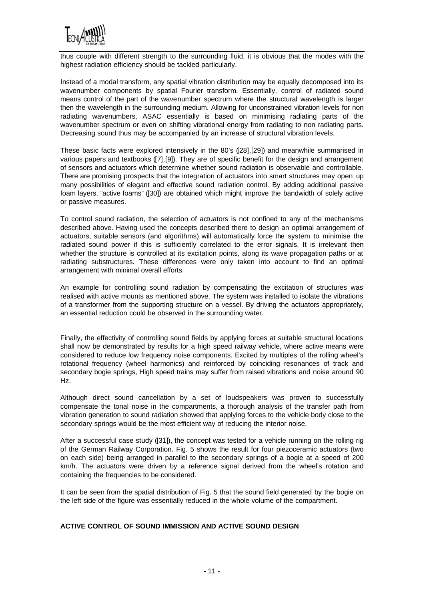

thus couple with different strength to the surrounding fluid, it is obvious that the modes with the highest radiation efficiency should be tackled particularly.

Instead of a modal transform, any spatial vibration distribution may be equally decomposed into its wavenumber components by spatial Fourier transform. Essentially, control of radiated sound means control of the part of the wavenumber spectrum where the structural wavelength is larger then the wavelength in the surrounding medium. Allowing for unconstrained vibration levels for non radiating wavenumbers, ASAC essentially is based on minimising radiating parts of the wavenumber spectrum or even on shifting vibrational energy from radiating to non radiating parts. Decreasing sound thus may be accompanied by an increase of structural vibration levels.

These basic facts were explored intensively in the 80's ([28],[29]) and meanwhile summarised in various papers and textbooks ([7],[9]). They are of specific benefit for the design and arrangement of sensors and actuators which determine whether sound radiation is observable and controllable. There are promising prospects that the integration of actuators into smart structures may open up many possibilities of elegant and effective sound radiation control. By adding additional passive foam layers, "active foams" ([30]) are obtained which might improve the bandwidth of solely active or passive measures.

To control sound radiation, the selection of actuators is not confined to any of the mechanisms described above. Having used the concepts described there to design an optimal arrangement of actuators, suitable sensors (and algorithms) will automatically force the system to minimise the radiated sound power if this is sufficiently correlated to the error signals. It is irrelevant then whether the structure is controlled at its excitation points, along its wave propagation paths or at radiating substructures. These differences were only taken into account to find an optimal arrangement with minimal overall efforts.

An example for controlling sound radiation by compensating the excitation of structures was realised with active mounts as mentioned above. The system was installed to isolate the vibrations of a transformer from the supporting structure on a vessel. By driving the actuators appropriately, an essential reduction could be observed in the surrounding water.

Finally, the effectivity of controlling sound fields by applying forces at suitable structural locations shall now be demonstrated by results for a high speed railway vehicle, where active means were considered to reduce low frequency noise components. Excited by multiples of the rolling wheel's rotational frequency (wheel harmonics) and reinforced by coinciding resonances of track and secondary bogie springs, High speed trains may suffer from raised vibrations and noise around 90 Hz.

Although direct sound cancellation by a set of loudspeakers was proven to successfully compensate the tonal noise in the compartments, a thorough analysis of the transfer path from vibration generation to sound radiation showed that applying forces to the vehicle body close to the secondary springs would be the most efficient way of reducing the interior noise.

After a successful case study ([31]), the concept was tested for a vehicle running on the rolling rig of the German Railway Corporation. Fig. 5 shows the result for four piezoceramic actuators (two on each side) being arranged in parallel to the secondary springs of a bogie at a speed of 200 km/h. The actuators were driven by a reference signal derived from the wheel's rotation and containing the frequencies to be considered.

It can be seen from the spatial distribution of Fig. 5 that the sound field generated by the bogie on the left side of the figure was essentially reduced in the whole volume of the compartment.

## **ACTIVE CONTROL OF SOUND IMMISSION AND ACTIVE SOUND DESIGN**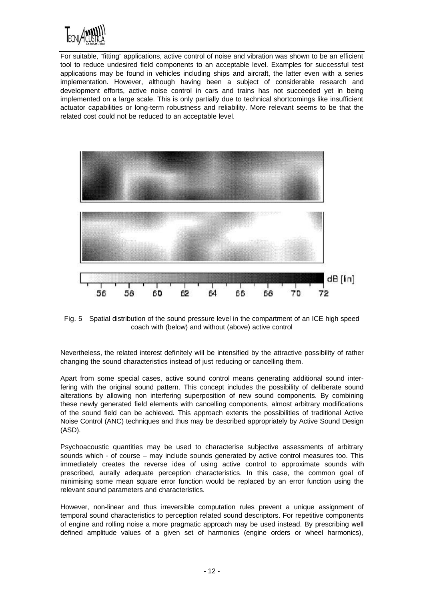

For suitable, "fitting" applications, active control of noise and vibration was shown to be an efficient tool to reduce undesired field components to an acceptable level. Examples for successful test applications may be found in vehicles including ships and aircraft, the latter even with a series implementation. However, although having been a subject of considerable research and development efforts, active noise control in cars and trains has not succeeded yet in being implemented on a large scale. This is only partially due to technical shortcomings like insufficient actuator capabilities or long-term robustness and reliability. More relevant seems to be that the related cost could not be reduced to an acceptable level.



Fig. 5 Spatial distribution of the sound pressure level in the compartment of an ICE high speed coach with (below) and without (above) active control

Nevertheless, the related interest definitely will be intensified by the attractive possibility of rather changing the sound characteristics instead of just reducing or cancelling them.

Apart from some special cases, active sound control means generating additional sound interfering with the original sound pattern. This concept includes the possibility of deliberate sound alterations by allowing non interfering superposition of new sound components. By combining these newly generated field elements with cancelling components, almost arbitrary modifications of the sound field can be achieved. This approach extents the possibilities of traditional Active Noise Control (ANC) techniques and thus may be described appropriately by Active Sound Design (ASD).

Psychoacoustic quantities may be used to characterise subjective assessments of arbitrary sounds which - of course – may include sounds generated by active control measures too. This immediately creates the reverse idea of using active control to approximate sounds with prescribed, aurally adequate perception characteristics. In this case, the common goal of minimising some mean square error function would be replaced by an error function using the relevant sound parameters and characteristics.

However, non-linear and thus irreversible computation rules prevent a unique assignment of temporal sound characteristics to perception related sound descriptors. For repetitive components of engine and rolling noise a more pragmatic approach may be used instead. By prescribing well defined amplitude values of a given set of harmonics (engine orders or wheel harmonics),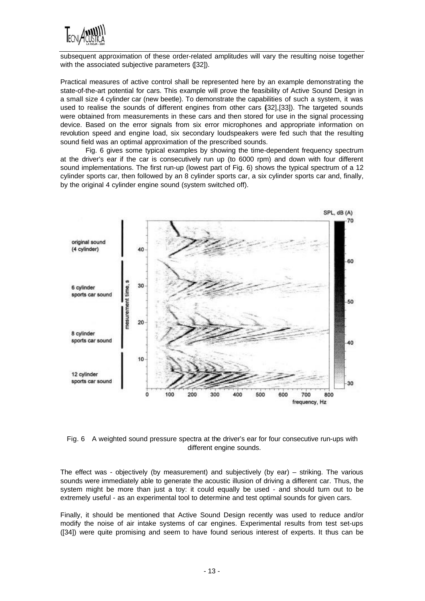

subsequent approximation of these order-related amplitudes will vary the resulting noise together with the associated subjective parameters ([32]).

Practical measures of active control shall be represented here by an example demonstrating the state-of-the-art potential for cars. This example will prove the feasibility of Active Sound Design in a small size 4 cylinder car (new beetle). To demonstrate the capabilities of such a system, it was used to realise the sounds of different engines from other cars (32, [33]). The targeted sounds were obtained from measurements in these cars and then stored for use in the signal processing device. Based on the error signals from six error microphones and appropriate information on revolution speed and engine load, six secondary loudspeakers were fed such that the resulting sound field was an optimal approximation of the prescribed sounds.

Fig. 6 gives some typical examples by showing the time-dependent frequency spectrum at the driver's ear if the car is consecutively run up (to 6000 rpm) and down with four different sound implementations. The first run-up (lowest part of Fig. 6) shows the typical spectrum of a 12 cylinder sports car, then followed by an 8 cylinder sports car, a six cylinder sports car and, finally, by the original 4 cylinder engine sound (system switched off).



Fig. 6 A weighted sound pressure spectra at the driver's ear for four consecutive run-ups with different engine sounds.

The effect was - objectively (by measurement) and subjectively (by ear) – striking. The various sounds were immediately able to generate the acoustic illusion of driving a different car. Thus, the system might be more than just a toy: it could equally be used - and should turn out to be extremely useful - as an experimental tool to determine and test optimal sounds for given cars.

Finally, it should be mentioned that Active Sound Design recently was used to reduce and/or modify the noise of air intake systems of car engines. Experimental results from test set-ups ([34]) were quite promising and seem to have found serious interest of experts. It thus can be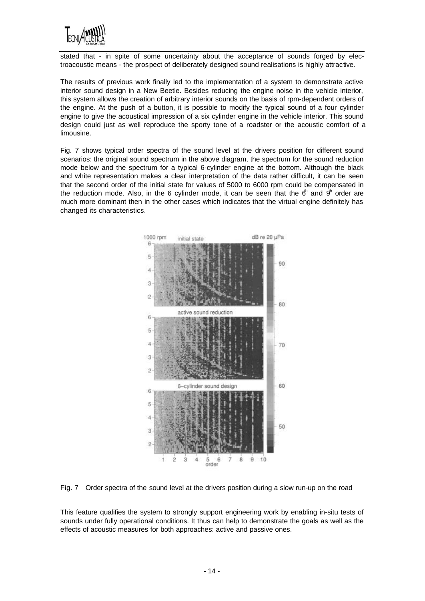

stated that - in spite of some uncertainty about the acceptance of sounds forged by electroacoustic means - the prospect of deliberately designed sound realisations is highly attractive.

The results of previous work finally led to the implementation of a system to demonstrate active interior sound design in a New Beetle. Besides reducing the engine noise in the vehicle interior, this system allows the creation of arbitrary interior sounds on the basis of rpm-dependent orders of the engine. At the push of a button, it is possible to modify the typical sound of a four cylinder engine to give the acoustical impression of a six cylinder engine in the vehicle interior. This sound design could just as well reproduce the sporty tone of a roadster or the acoustic comfort of a limousine.

Fig. 7 shows typical order spectra of the sound level at the drivers position for different sound scenarios: the original sound spectrum in the above diagram, the spectrum for the sound reduction mode below and the spectrum for a typical 6-cylinder engine at the bottom. Although the black and white representation makes a clear interpretation of the data rather difficult, it can be seen that the second order of the initial state for values of 5000 to 6000 rpm could be compensated in the reduction mode. Also, in the 6 cylinder mode, it can be seen that the  $6<sup>th</sup>$  and  $9<sup>th</sup>$  order are much more dominant then in the other cases which indicates that the virtual engine definitely has changed its characteristics.



Fig. 7 Order spectra of the sound level at the drivers position during a slow run-up on the road

This feature qualifies the system to strongly support engineering work by enabling in-situ tests of sounds under fully operational conditions. It thus can help to demonstrate the goals as well as the effects of acoustic measures for both approaches: active and passive ones.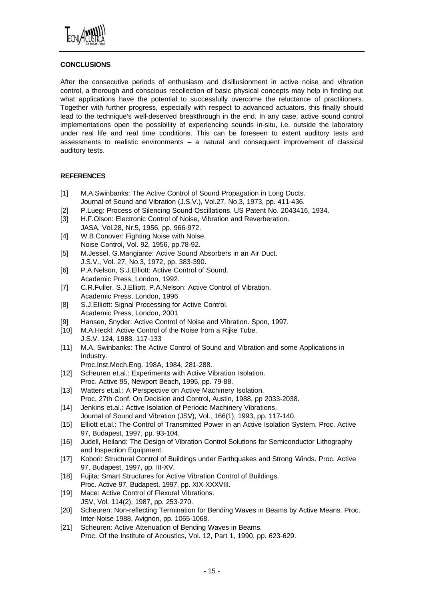

# **CONCLUSIONS**

After the consecutive periods of enthusiasm and disillusionment in active noise and vibration control, a thorough and conscious recollection of basic physical concepts may help in finding out what applications have the potential to successfully overcome the reluctance of practitioners. Together with further progress, especially with respect to advanced actuators, this finally should lead to the technique's well-deserved breakthrough in the end. In any case, active sound control implementations open the possibility of experiencing sounds in-situ, i.e. outside the laboratory under real life and real time conditions. This can be foreseen to extent auditory tests and assessments to realistic environments – a natural and consequent improvement of classical auditory tests.

## **REFERENCES**

- [1] M.A.Swinbanks: The Active Control of Sound Propagation in Long Ducts. Journal of Sound and Vibration (J.S.V.), Vol.27, No.3, 1973, pp. 411-436.
- [2] P.Lueg: Process of Silencing Sound Oscillations. US Patent No. 2043416, 1934.
- [3] H.F.Olson: Electronic Control of Noise, Vibration and Reverberation.
- JASA, Vol.28, Nr.5, 1956, pp. 966-972. [4] W.B.Conover: Fighting Noise with Noise.
- Noise Control, Vol. 92, 1956, pp.78-92.
- [5] M.Jessel, G.Mangiante: Active Sound Absorbers in an Air Duct. J.S.V., Vol. 27, No.3, 1972, pp. 383-390.
- [6] P.A.Nelson, S.J.Elliott: Active Control of Sound. Academic Press, London, 1992.
- [7] C.R.Fuller, S.J.Elliott, P.A.Nelson: Active Control of Vibration. Academic Press, London, 1996
- [8] S.J.Elliott: Signal Processing for Active Control. Academic Press, London, 2001
- [9] Hansen, Snyder: Active Control of Noise and Vibration. Spon, 1997.
- [10] M.A.Heckl: Active Control of the Noise from a Rijke Tube. J.S.V. 124, 1988, 117-133
- [11] M.A. Swinbanks: The Active Control of Sound and Vibration and some Applications in Industry.
	- Proc.Inst.Mech.Eng. 198A, 1984, 281-288.
- [12] Scheuren et.al.: Experiments with Active Vibration Isolation. Proc. Active 95, Newport Beach, 1995, pp. 79-88.
- [13] Watters et.al.: A Perspective on Active Machinery Isolation. Proc. 27th Conf. On Decision and Control, Austin, 1988, pp 2033-2038.
- [14] Jenkins et.al.: Active Isolation of Periodic Machinery Vibrations. Journal of Sound and Vibration (JSV), Vol., 166(1), 1993, pp. 117-140.
- [15] Elliott et.al.: The Control of Transmitted Power in an Active Isolation System. Proc. Active 97, Budapest, 1997, pp. 93-104.
- [16] Judell, Heiland: The Design of Vibration Control Solutions for Semiconductor Lithography and Inspection Equipment.
- [17] Kobori: Structural Control of Buildings under Earthquakes and Strong Winds. Proc. Active 97, Budapest, 1997, pp. III-XV.
- [18] Fujita: Smart Structures for Active Vibration Control of Buildings. Proc. Active 97, Budapest, 1997, pp. XIX-XXXVIII.
- [19] Mace: Active Control of Flexural Vibrations. JSV, Vol. 114(2), 1987, pp. 253-270.
- [20] Scheuren: Non-reflecting Termination for Bending Waves in Beams by Active Means. Proc. Inter-Noise 1988, Avignon, pp. 1065-1068.
- [21] Scheuren: Active Attenuation of Bending Waves in Beams. Proc. Of the Institute of Acoustics, Vol. 12, Part 1, 1990, pp. 623-629.